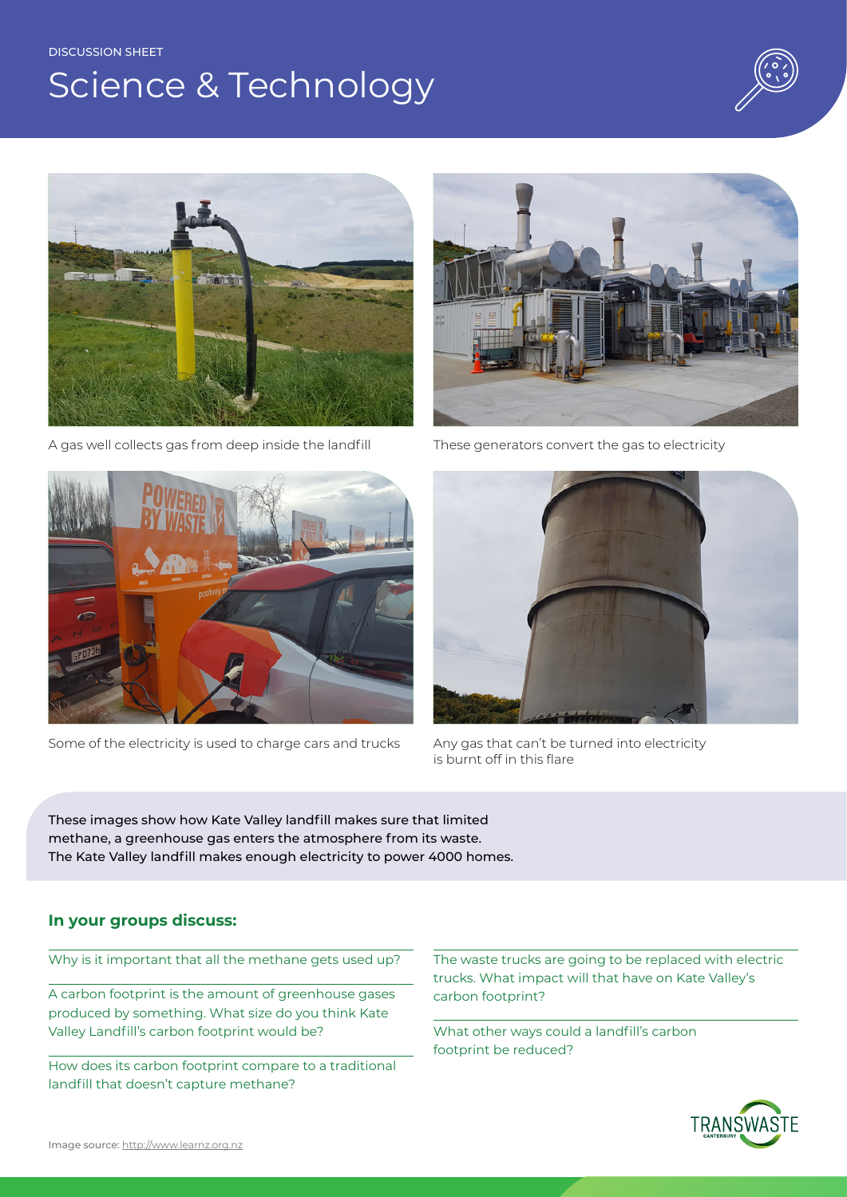#### DISCUSSION SHEET

# Science & Technology





A gas well collects gas from deep inside the landfill



Some of the electricity is used to charge cars and trucks Any gas that can't be turned into electricity



These generators convert the gas to electricity



is burnt off in this flare

These images show how Kate Valley landfill makes sure that limited methane, a greenhouse gas enters the atmosphere from its waste. The Kate Valley landfill makes enough electricity to power 4000 homes.

### **In your groups discuss:**

Why is it important that all the methane gets used up?

A carbon footprint is the amount of greenhouse gases produced by something. What size do you think Kate Valley Landfill's carbon footprint would be?

How does its carbon footprint compare to a traditional landfill that doesn't capture methane?

The waste trucks are going to be replaced with electric trucks. What impact will that have on Kate Valley's carbon footprint?

What other ways could a landfill's carbon footprint be reduced?